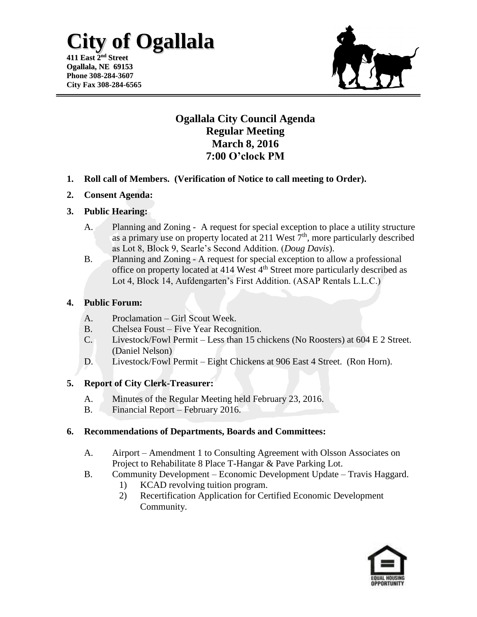# **City of Ogallala**

**411 East 2 nd Street Ogallala, NE 69153 Phone 308-284-3607 City Fax 308-284-6565**



## **Ogallala City Council Agenda Regular Meeting March 8, 2016 7:00 O'clock PM**

- **1. Roll call of Members. (Verification of Notice to call meeting to Order).**
- **2. Consent Agenda:**

#### **3. Public Hearing:**

- A. Planning and Zoning A request for special exception to place a utility structure as a primary use on property located at 211 West  $7<sup>th</sup>$ , more particularly described as Lot 8, Block 9, Searle's Second Addition. (*Doug Davis*).
- B. Planning and Zoning A request for special exception to allow a professional office on property located at 414 West 4th Street more particularly described as Lot 4, Block 14, Aufdengarten's First Addition. (ASAP Rentals L.L.C.)

#### **4. Public Forum:**

- A. Proclamation Girl Scout Week.
- B. Chelsea Foust Five Year Recognition.
- C. Livestock/Fowl Permit Less than 15 chickens (No Roosters) at 604 E 2 Street. (Daniel Nelson)
- D. Livestock/Fowl Permit Eight Chickens at 906 East 4 Street. (Ron Horn).

### **5. Report of City Clerk-Treasurer:**

- A. Minutes of the Regular Meeting held February 23, 2016.
- B. Financial Report February 2016.

### **6. Recommendations of Departments, Boards and Committees:**

- A. Airport Amendment 1 to Consulting Agreement with Olsson Associates on Project to Rehabilitate 8 Place T-Hangar & Pave Parking Lot.
- B. Community Development Economic Development Update Travis Haggard.
	- 1) KCAD revolving tuition program.
	- 2) Recertification Application for Certified Economic Development Community.